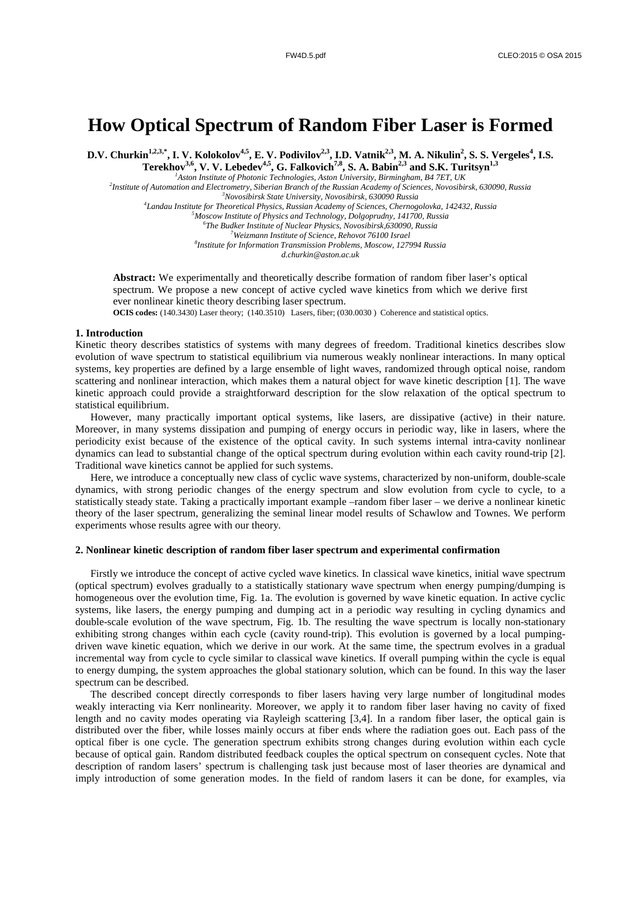## **How Optical Spectrum of Random Fiber Laser is Formed**

**D.V. Churkin1,2,3,\*, I. V. Kolokolov4,5, E. V. Podivilov2,3, I.D. Vatnik2,3, M. A. Nikulin<sup>2</sup> , S. S. Vergeles<sup>4</sup> , I.S. Terekhov3,6, V. V. Lebedev4,5, G. Falkovich7,8, S. A. Babin2,3 and S.K. Turitsyn1,3**

*<sup>1</sup>Aston Institute of Photonic Technologies, Aston University, Birmingham, B4 7ET, UK* 

 *Institute of Automation and Electrometry, Siberian Branch of the Russian Academy of Sciences, Novosibirsk, 630090, Russia Novosibirsk State University, Novosibirsk, 630090 Russia Landau Institute for Theoretical Physics, Russian Academy of Sciences, Chernogolovka, 142432, Russia Moscow Institute of Physics and Technology, Dolgoprudny, 141700, Russia The Budker Institute of Nuclear Physics, Novosibirsk,630090, Russia* 

*<sup>7</sup>Weizmann Institute of Science, Rehovot 76100 Israel*

*8 Institute for Information Transmission Problems, Moscow, 127994 Russia* 

*d.churkin@aston.ac.uk* 

**Abstract:** We experimentally and theoretically describe formation of random fiber laser's optical spectrum. We propose a new concept of active cycled wave kinetics from which we derive first ever nonlinear kinetic theory describing laser spectrum.

**OCIS codes:** (140.3430) Laser theory; (140.3510) Lasers, fiber; (030.0030) Coherence and statistical optics.

## **1. Introduction**

Kinetic theory describes statistics of systems with many degrees of freedom. Traditional kinetics describes slow evolution of wave spectrum to statistical equilibrium via numerous weakly nonlinear interactions. In many optical systems, key properties are defined by a large ensemble of light waves, randomized through optical noise, random scattering and nonlinear interaction, which makes them a natural object for wave kinetic description [1]. The wave kinetic approach could provide a straightforward description for the slow relaxation of the optical spectrum to statistical equilibrium.

However, many practically important optical systems, like lasers, are dissipative (active) in their nature. Moreover, in many systems dissipation and pumping of energy occurs in periodic way, like in lasers, where the periodicity exist because of the existence of the optical cavity. In such systems internal intra-cavity nonlinear dynamics can lead to substantial change of the optical spectrum during evolution within each cavity round-trip [2]. Traditional wave kinetics cannot be applied for such systems.

Here, we introduce a conceptually new class of cyclic wave systems, characterized by non-uniform, double-scale dynamics, with strong periodic changes of the energy spectrum and slow evolution from cycle to cycle, to a statistically steady state. Taking a practically important example –random fiber laser – we derive a nonlinear kinetic theory of the laser spectrum, generalizing the seminal linear model results of Schawlow and Townes. We perform experiments whose results agree with our theory.

## **2. Nonlinear kinetic description of random fiber laser spectrum and experimental confirmation**

Firstly we introduce the concept of active cycled wave kinetics. In classical wave kinetics, initial wave spectrum (optical spectrum) evolves gradually to a statistically stationary wave spectrum when energy pumping/dumping is homogeneous over the evolution time, Fig. 1a. The evolution is governed by wave kinetic equation. In active cyclic systems, like lasers, the energy pumping and dumping act in a periodic way resulting in cycling dynamics and double-scale evolution of the wave spectrum, Fig. 1b. The resulting the wave spectrum is locally non-stationary exhibiting strong changes within each cycle (cavity round-trip). This evolution is governed by a local pumpingdriven wave kinetic equation, which we derive in our work. At the same time, the spectrum evolves in a gradual incremental way from cycle to cycle similar to classical wave kinetics. If overall pumping within the cycle is equal to energy dumping, the system approaches the global stationary solution, which can be found. In this way the laser spectrum can be described.

The described concept directly corresponds to fiber lasers having very large number of longitudinal modes weakly interacting via Kerr nonlinearity. Moreover, we apply it to random fiber laser having no cavity of fixed length and no cavity modes operating via Rayleigh scattering [3,4]. In a random fiber laser, the optical gain is distributed over the fiber, while losses mainly occurs at fiber ends where the radiation goes out. Each pass of the optical fiber is one cycle. The generation spectrum exhibits strong changes during evolution within each cycle because of optical gain. Random distributed feedback couples the optical spectrum on consequent cycles. Note that description of random lasers' spectrum is challenging task just because most of laser theories are dynamical and imply introduction of some generation modes. In the field of random lasers it can be done, for examples, via